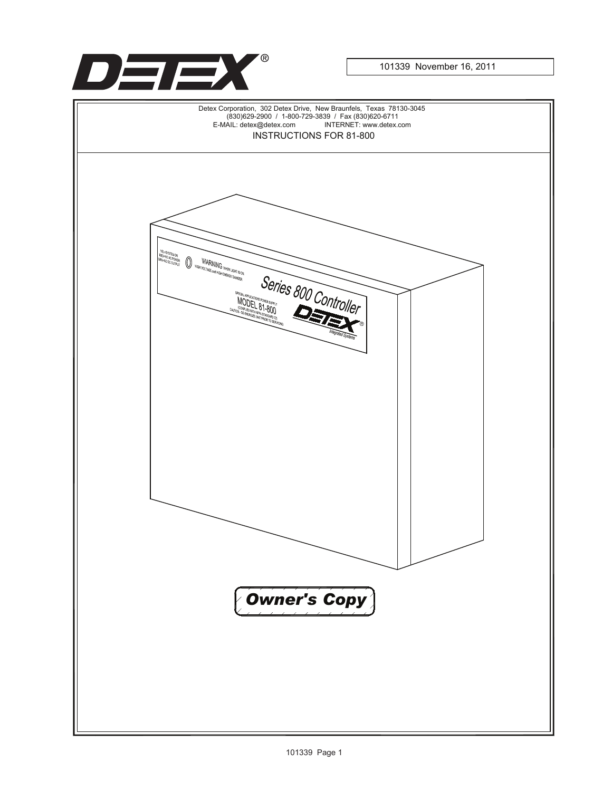

101339 November 16, 2011

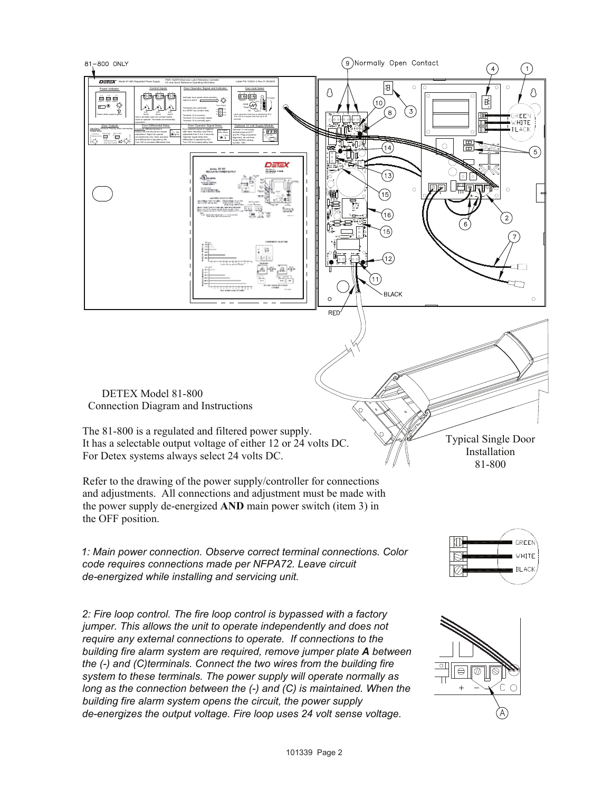

*long as the connection between the (-) and (C) is maintained. When the building fire alarm system opens the circuit, the power supply de-energizes the output voltage. Fire loop uses 24 volt sense voltage.*

101339 Page 2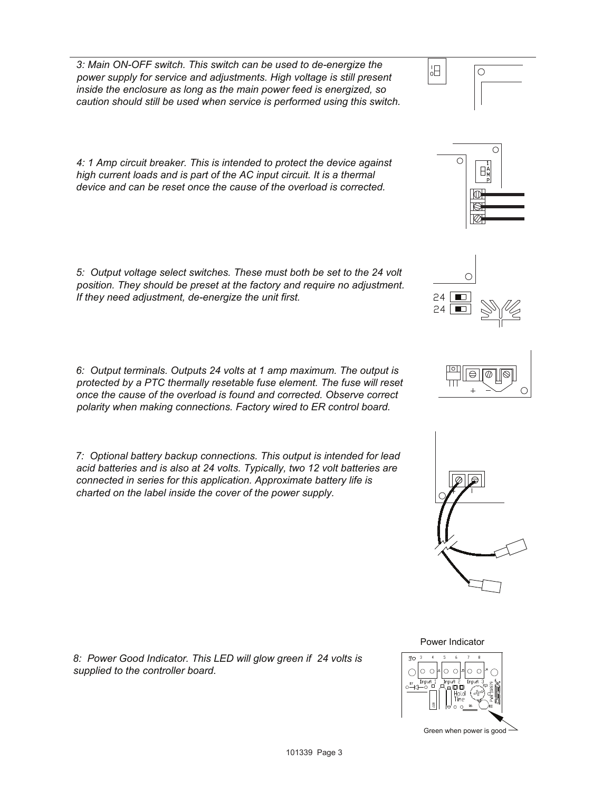*3: Main ON-OFF switch. This switch can be used to de-energize the power supply for service and adjustments. High voltage is still present inside the enclosure as long as the main power feed is energized, so caution should still be used when service is performed using this switch.*

*4: 1 Amp circuit breaker. This is intended to protect the device against high current loads and is part of the AC input circuit. It is a thermal device and can be reset once the cause of the overload is corrected.*

*5: Output voltage select switches. These must both be set to the 24 volt position. They should be preset at the factory and require no adjustment. If they need adjustment, de-energize the unit first.*

*6: Output terminals. Outputs 24 volts at 1 amp maximum. The output is protected by a PTC thermally resetable fuse element. The fuse will reset once the cause of the overload is found and corrected. Observe correct polarity when making connections. Factory wired to ER control board.*

*7: Optional battery backup connections. This output is intended for lead acid batteries and is also at 24 volts. Typically, two 12 volt batteries are connected in series for this application. Approximate battery life is charted on the label inside the cover of the power supply.*

*8: Power Good Indicator. This LED will glow green if 24 volts is supplied to the controller board.*



 $\bigcirc$ 

旧











Power Indicator

Green when power is good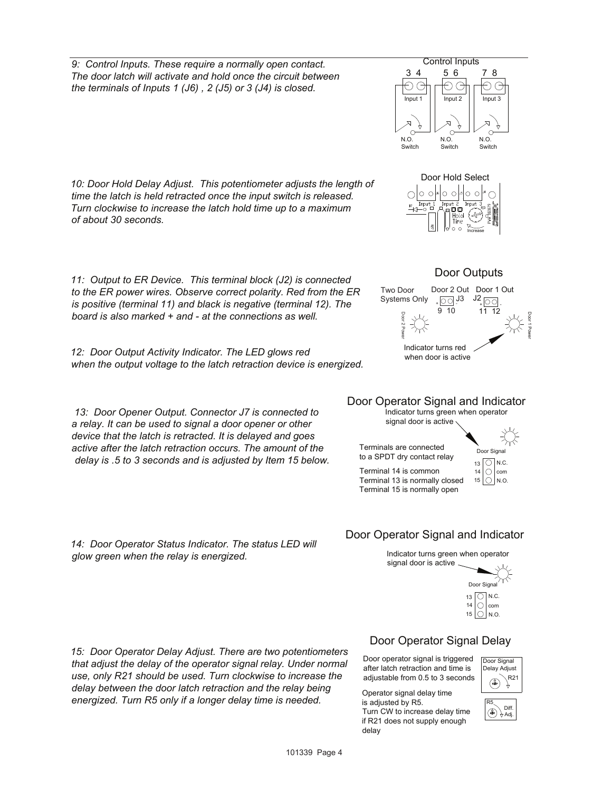*10: Door Hold Delay Adjust. This potentiometer adjusts the length of time the latch is held retracted once the input switch is released. Turn clockwise to increase the latch hold time up to a maximum of about 30 seconds.*

*11: Output to ER Device. This terminal block (J2) is connected to the ER power wires. Observe correct polarity. Red from the ER is positive (terminal 11) and black is negative (terminal 12). The board is also marked + and - at the connections as well.*

*12: Door Output Activity Indicator. The LED glows red when the output voltage to the latch retraction device is energized.*

*13: Door Opener Output. Connector J7 is connected to a relay. It can be used to signal a door opener or other device that the latch is retracted. It is delayed and goes active after the latch retraction occurs. The amount of the delay is .5 to 3 seconds and is adjusted by Item 15 below.*

*14: Door Operator Status Indicator. The status LED will glow green when the relay is energized.*

*15: Door Operator Delay Adjust. There are two potentiometers that adjust the delay of the operator signal relay. Under normal use, only R21 should be used. Turn clockwise to increase the delay between the door latch retraction and the relay being energized. Turn R5 only if a longer delay time is needed.*

## Door Operator Signal Delay

Door operator signal is triggered after latch retraction and time is adjustable from 0.5 to 3 seconds

signal door is active

Operator signal delay time is adjusted by R5. Turn CW to increase delay time if R21 does not supply enough delay















Indicator turns green when operator Door Operator Signal and Indicator



Indicator turns green when operator

Door Operator Signal and Indicator